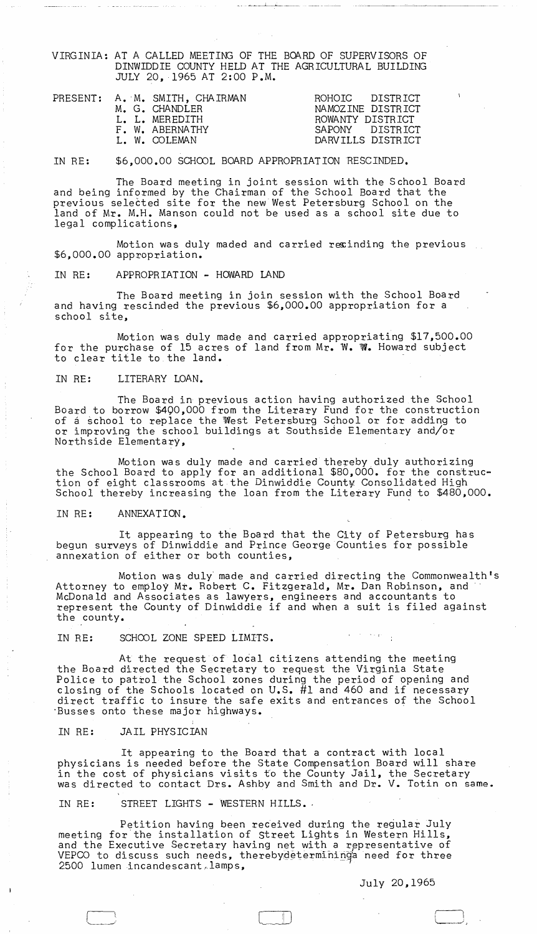VIRGINIA: AT A CALLED MEETING OF THE BOARD OF SUPERVISORS OF DINWIDDIE COUNTY HELD AT THE AGRICULTURAL BUILDING JULY 20,1965 AT 2:00 P.M.

--------- --~----

PRESENT: A. M. SMITH, CHAIRMAN M. G. CHANDLER L. L. MEREDITH F. W. ABERNATHY L. W. COLEMAN ROHOIC DISTRICT NAMOZINE DISTRICT ROWANTY DISTRICT<br>SAPONY DISTRICT DISTRICT DARVILLS DISTRICT

IN RE: \$6,000.00 SCHOOL BOARD APPROPRIATION RESCINDED.

The Board meeting in joint session with the School Board and being informed by the Chairman of the School Board that the previous selected site for the new West Petersburg School on the land of Mr. M.H. Manson could not be used as a school site due to legal complications,

Motion was duly maded and carried resinding the previous ...<br>\$6,000.00 appropriation.

IN RE: APPROPRIATION - HOWARD LAND

The Board meeting in join session with the School Board and having rescinded the previous \$6,000.00 appropriation for a school site,

Motion was duly made and carried appropriating \$17,500.00 for the purchase of 15 acres of land from Mr. W. W. Howard subject to clear title to the land.

IN RE: LITERARY LOAN.

The Board in previous action having authorized the School Board to borrow \$490,000 from the Literary Fund for the construction of a school to replace the West Petersburg School or for adding to or improving the school buildings at Southside Elementary and/or Northside Elementary,

Motion was duly made and carried thereby duly authorizing the School Board to apply for an additional \$80,000. for the construc-<br>tion of eight classrooms at the Dinwiddie County Consolidated High School thereby increasing the loan from the Literary Fund to \$480,000.

## IN RE: ANNEXATION.

It appearing to the Board that the City of Petersburg has begun surveys of Dinwiddie and Prince George Counties for possible annexation of either or both counties,

Motion was duly' made and carried directing the Commonwealth's Attorney to employ Mt. Robert C. Fitzgerald, Mr. Dan Robinson, and' McDonald and Associates as lawyers, engineers and accountants to represent the County of Dinwiddie if and when a suit is filed against the county.

IN RE: SCHOOL ZONE SPEED LIMITS.

At the request of 106al citizens attending the meeting the Board directed the Secretary to request the Virginia State Police to patrol the School zones during the period of opening and closing of the Schools located on U.S. #1 and 460 and if necessary direct traffic to insure the safe exits and entrances of the School "Busses onto these major highways. '

IN RE: JAIL PHYSICIAN

- I

It appearing to the Board that a contract with local physicians is needed before the State Compensation Board will share physicians is needed before the badde compensation bodid will share was directed to contact Drs. Ashby and Smith and Dr. V. Totin on same.

 $\Box$ 

## IN RE: STREET LIGHTS - WESTERN HILLS.

Petition having been received during the regular July meeting for the installation of Street Lights in Western Hills, and the Executive Secretary having net with a representative of VEPCO to discuss such needs, therebydetermininga need for three 2500 lumen incandescant lamps,

July 20,1965